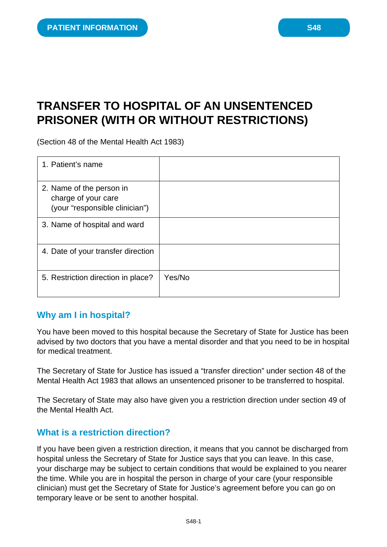# **TRANSFER TO HOSPITAL OF AN UNSENTENCED PRISONER (WITH OR WITHOUT RESTRICTIONS)**

(Section 48 of the Mental Health Act 1983)

| 1. Patient's name                                                                 |        |
|-----------------------------------------------------------------------------------|--------|
| 2. Name of the person in<br>charge of your care<br>(your "responsible clinician") |        |
| 3. Name of hospital and ward                                                      |        |
| 4. Date of your transfer direction                                                |        |
| 5. Restriction direction in place?                                                | Yes/No |

### **Why am I in hospital?**

You have been moved to this hospital because the Secretary of State for Justice has been advised by two doctors that you have a mental disorder and that you need to be in hospital for medical treatment.

The Secretary of State for Justice has issued a "transfer direction" under section 48 of the Mental Health Act 1983 that allows an unsentenced prisoner to be transferred to hospital.

The Secretary of State may also have given you a restriction direction under section 49 of the Mental Health Act.

### **What is a restriction direction?**

If you have been given a restriction direction, it means that you cannot be discharged from hospital unless the Secretary of State for Justice says that you can leave. In this case, your discharge may be subject to certain conditions that would be explained to you nearer the time. While you are in hospital the person in charge of your care (your responsible clinician) must get the Secretary of State for Justice's agreement before you can go on temporary leave or be sent to another hospital.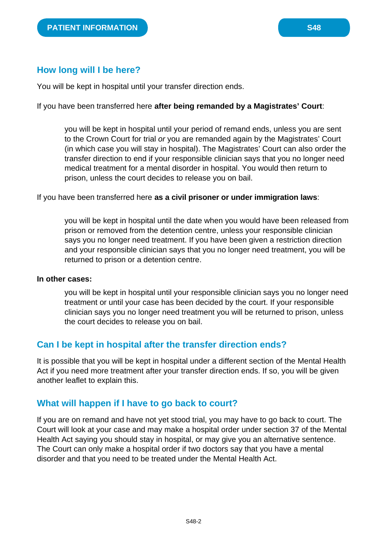### **How long will I be here?**

You will be kept in hospital until your transfer direction ends.

If you have been transferred here **after being remanded by a Magistrates' Court**:

you will be kept in hospital until your period of remand ends, unless you are sent to the Crown Court for trial *or* you are remanded again by the Magistrates' Court (in which case you will stay in hospital). The Magistrates' Court can also order the transfer direction to end if your responsible clinician says that you no longer need medical treatment for a mental disorder in hospital. You would then return to prison, unless the court decides to release you on bail.

If you have been transferred here **as a civil prisoner or under immigration laws**:

you will be kept in hospital until the date when you would have been released from prison or removed from the detention centre, unless your responsible clinician says you no longer need treatment. If you have been given a restriction direction and your responsible clinician says that you no longer need treatment, you will be returned to prison or a detention centre.

#### **In other cases:**

you will be kept in hospital until your responsible clinician says you no longer need treatment or until your case has been decided by the court. If your responsible clinician says you no longer need treatment you will be returned to prison, unless the court decides to release you on bail.

### **Can I be kept in hospital after the transfer direction ends?**

It is possible that you will be kept in hospital under a different section of the Mental Health Act if you need more treatment after your transfer direction ends. If so, you will be given another leaflet to explain this.

#### **What will happen if I have to go back to court?**

If you are on remand and have not yet stood trial, you may have to go back to court. The Court will look at your case and may make a hospital order under section 37 of the Mental Health Act saying you should stay in hospital, or may give you an alternative sentence. The Court can only make a hospital order if two doctors say that you have a mental disorder and that you need to be treated under the Mental Health Act.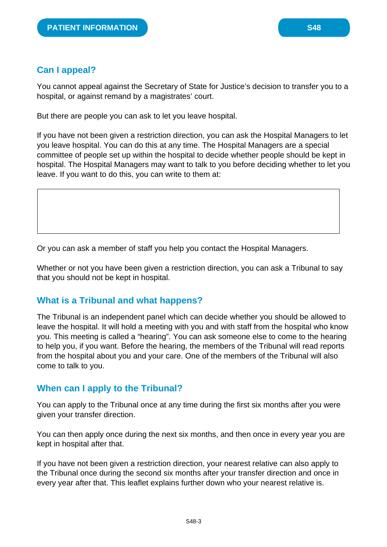You cannot appeal against the Secretary of State for Justice's decision to transfer you to a hospital, or against remand by a magistrates' court.

But there are people you can ask to let you leave hospital.

If you have not been given a restriction direction, you can ask the Hospital Managers to let you leave hospital. You can do this at any time. The Hospital Managers are a special committee of people set up within the hospital to decide whether people should be kept in hospital. The Hospital Managers may want to talk to you before deciding whether to let you leave. If you want to do this, you can write to them at:

Or you can ask a member of staff you help you contact the Hospital Managers.

Whether or not you have been given a restriction direction, you can ask a Tribunal to say that you should not be kept in hospital.

### **What is a Tribunal and what happens?**

The Tribunal is an independent panel which can decide whether you should be allowed to leave the hospital. It will hold a meeting with you and with staff from the hospital who know you. This meeting is called a "hearing". You can ask someone else to come to the hearing to help you, if you want. Before the hearing, the members of the Tribunal will read reports from the hospital about you and your care. One of the members of the Tribunal will also come to talk to you.

### **When can I apply to the Tribunal?**

You can apply to the Tribunal once at any time during the first six months after you were given your transfer direction.

You can then apply once during the next six months, and then once in every year you are kept in hospital after that.

If you have not been given a restriction direction, your nearest relative can also apply to the Tribunal once during the second six months after your transfer direction and once in every year after that. This leaflet explains further down who your nearest relative is.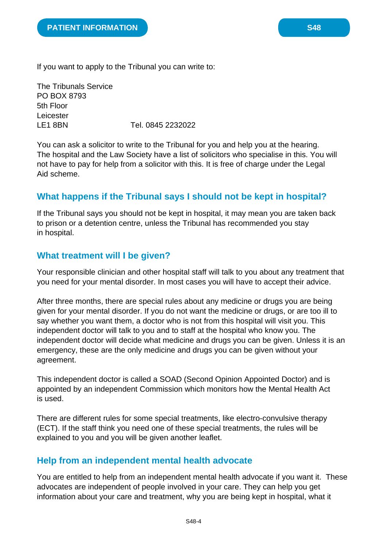If you want to apply to the Tribunal you can write to:

The Tribunals Service PO BOX 8793 5th Floor Leicester LE1 8BN Tel. 0845 2232022

You can ask a solicitor to write to the Tribunal for you and help you at the hearing. The hospital and the Law Society have a list of solicitors who specialise in this. You will not have to pay for help from a solicitor with this. It is free of charge under the Legal Aid scheme.

## **What happens if the Tribunal says I should not be kept in hospital?**

If the Tribunal says you should not be kept in hospital, it may mean you are taken back to prison or a detention centre, unless the Tribunal has recommended you stay in hospital.

### **What treatment will I be given?**

Your responsible clinician and other hospital staff will talk to you about any treatment that you need for your mental disorder. In most cases you will have to accept their advice.

After three months, there are special rules about any medicine or drugs you are being given for your mental disorder. If you do not want the medicine or drugs, or are too ill to say whether you want them, a doctor who is not from this hospital will visit you. This independent doctor will talk to you and to staff at the hospital who know you. The independent doctor will decide what medicine and drugs you can be given. Unless it is an emergency, these are the only medicine and drugs you can be given without your agreement.

This independent doctor is called a SOAD (Second Opinion Appointed Doctor) and is appointed by an independent Commission which monitors how the Mental Health Act is used.

There are different rules for some special treatments, like electro-convulsive therapy (ECT). If the staff think you need one of these special treatments, the rules will be explained to you and you will be given another leaflet.

### **Help from an independent mental health advocate**

You are entitled to help from an independent mental health advocate if you want it. These advocates are independent of people involved in your care. They can help you get information about your care and treatment, why you are being kept in hospital, what it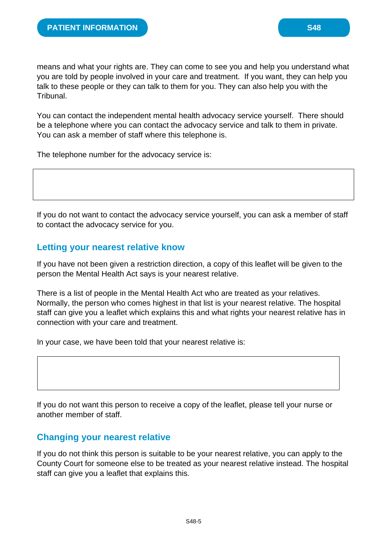means and what your rights are. They can come to see you and help you understand what you are told by people involved in your care and treatment. If you want, they can help you talk to these people or they can talk to them for you. They can also help you with the Tribunal.

You can contact the independent mental health advocacy service yourself. There should be a telephone where you can contact the advocacy service and talk to them in private. You can ask a member of staff where this telephone is.

The telephone number for the advocacy service is:

If you do not want to contact the advocacy service yourself, you can ask a member of staff to contact the advocacy service for you.

### **Letting your nearest relative know**

If you have not been given a restriction direction, a copy of this leaflet will be given to the person the Mental Health Act says is your nearest relative.

There is a list of people in the Mental Health Act who are treated as your relatives. Normally, the person who comes highest in that list is your nearest relative. The hospital staff can give you a leaflet which explains this and what rights your nearest relative has in connection with your care and treatment.

In your case, we have been told that your nearest relative is:

If you do not want this person to receive a copy of the leaflet, please tell your nurse or another member of staff.

### **Changing your nearest relative**

If you do not think this person is suitable to be your nearest relative, you can apply to the County Court for someone else to be treated as your nearest relative instead. The hospital staff can give you a leaflet that explains this.